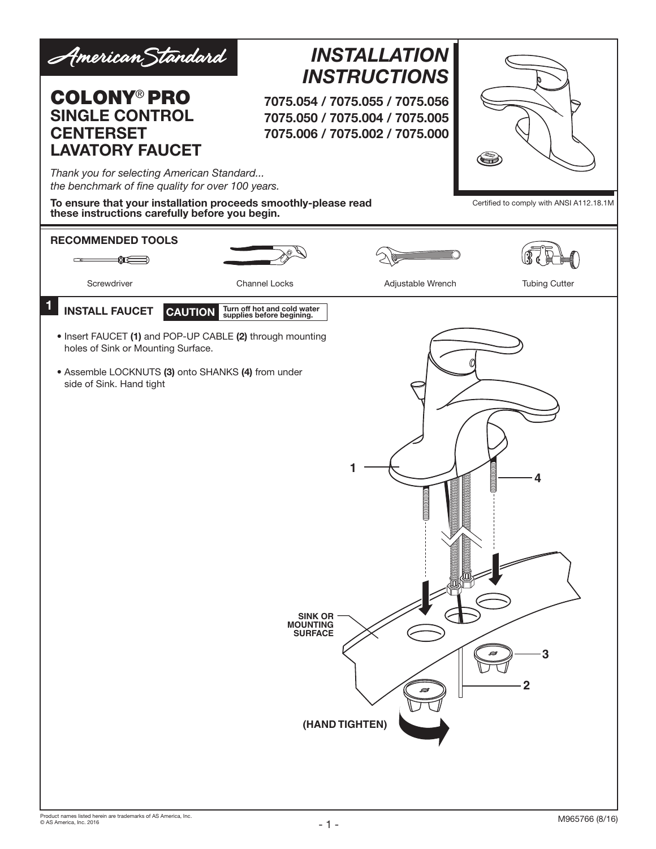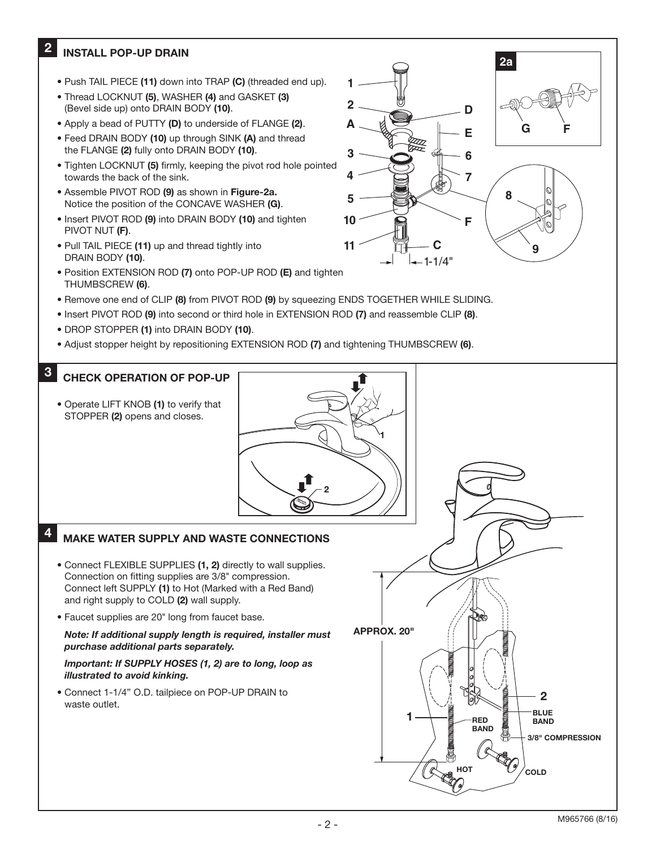#### 2 INSTALL POP-UP DRAIN

- Push TAIL PIECE (11) down into TRAP (C) (threaded end up).
- Thread LOCKNUT (5), WASHER (4) and GASKET (3) (Bevel side up) onto DRAIN BODY (10).
- Apply a bead of PUTTY (D) to underside of FLANGE (2).
- Feed DRAIN BODY (10) up through SINK (A) and thread the FLANGE (2) fully onto DRAIN BODY (10).
- Tighten LOCKNUT (5) firmly, keeping the pivot rod hole pointed towards the back of the sink.
- Assemble PIVOT ROD (9) as shown in Figure-2a. Notice the position of the CONCAVE WASHER (G).
- Insert PIVOT ROD (9) into DRAIN BODY (10) and tighten PIVOT NUT (F).
- Pull TAIL PIECE (11) up and thread tightly into DRAIN BODY (10).
- Position EXTENSION ROD (7) onto POP-UP ROD (E) and tighten THUMBSCREW (6).
- Remove one end of CLIP (8) from PIVOT ROD (9) by squeezing ENDS TOGETHER WHILE SLIDING.

**2 A**

**3 4**

**5**

**10**

**11**

**1**

 $-1-1/4"$ 

**6**

**7**

**F**

**8**

**G F**

**2a**

**9 C**

**E**

**D**

- Insert PIVOT ROD (9) into second or third hole in EXTENSION ROD (7) and reassemble CLIP (8).
- DROP STOPPER (1) into DRAIN BODY (10).
- Adjust stopper height by repositioning EXTENSION ROD (7) and tightening THUMBSCREW (6).

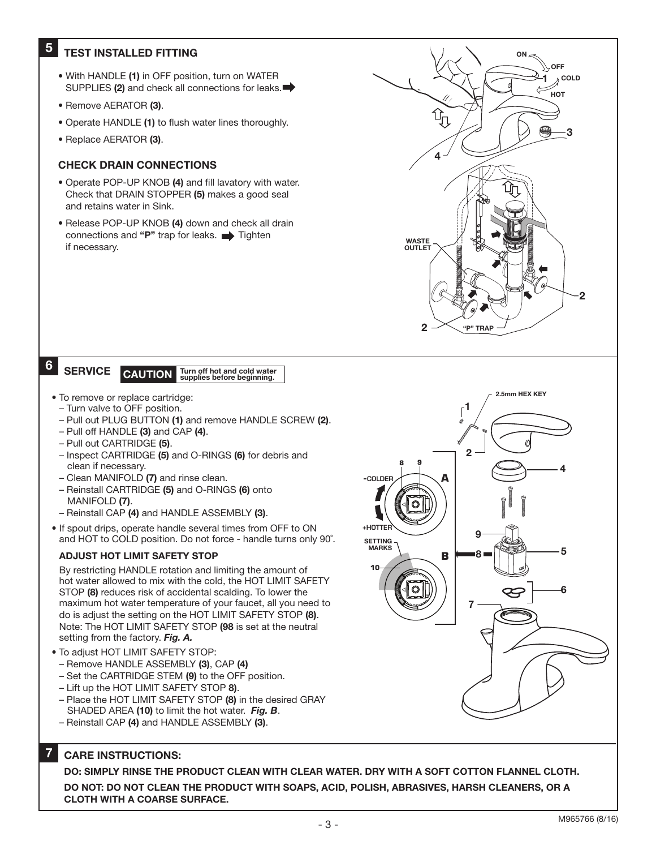## **5** TEST INSTALLED FITTING

- With HANDLE (1) in OFF position, turn on WATER SUPPLIES (2) and check all connections for leaks.
- Remove AERATOR (3).
- Operate HANDLE (1) to flush water lines thoroughly.
- Replace AERATOR (3).

## CHECK DRAIN CONNECTIONS

- Operate POP-UP KNOB (4) and fill lavatory with water. Check that DRAIN STOPPER (5) makes a good seal and retains water in Sink.
- Release POP-UP KNOB (4) down and check all drain connections and "P" trap for leaks.  $\longrightarrow$  Tighten if necessary.

6

**SERVICE** 

# CAUTION Turn off hot and cold water<br>supplies before beginning.

- To remove or replace cartridge:
	- Turn valve to OFF position.
	- Pull out PLUG BUTTON (1) and remove HANDLE SCREW (2).
- Pull off HANDLE (3) and CAP (4).
- Pull out CARTRIDGE (5).
- Inspect CARTRIDGE (5) and O-RINGS (6) for debris and clean if necessary.
- Clean MANIFOLD (7) and rinse clean.
- Reinstall CARTRIDGE (5) and O-RINGS (6) onto MANIFOLD (7).
- Reinstall CAP (4) and HANDLE ASSEMBLY (3).
- If spout drips, operate handle several times from OFF to ON and HOT to COLD position. Do not force - handle turns only 90˚.

### ADJUST HOT LIMIT SAFETY STOP

By restricting HANDLE rotation and limiting the amount of hot water allowed to mix with the cold, the HOT LIMIT SAFETY STOP (8) reduces risk of accidental scalding. To lower the maximum hot water temperature of your faucet, all you need to do is adjust the setting on the HOT LIMIT SAFETY STOP (8). Note: The HOT LIMIT SAFETY STOP (98 is set at the neutral setting from the factory. *Fig. A.*

- To adjust HOT LIMIT SAFETY STOP:
	- Remove HANDLE ASSEMBLY (3), CAP (4)
	- Set the CARTRIDGE STEM (9) to the OFF position.
- Lift up the HOT LIMIT SAFETY STOP 8).
- Place the HOT LIMIT SAFETY STOP (8) in the desired GRAY SHADED AREA (10) to limit the hot water. *Fig. B*.
- Reinstall CAP (4) and HANDLE ASSEMBLY (3).

#### 7 CARE INSTRUCTIONS:

DO: SIMPLY RINSE THE PRODUCT CLEAN WITH CLEAR WATER. DRY WITH A SOFT COTTON FLANNEL CLOTH. DO NOT: DO NOT CLEAN THE PRODUCT WITH SOAPS, ACID, POLISH, ABRASIVES, HARSH CLEANERS, OR A CLOTH WITH A COARSE SURFACE.



"P" TRAP

2.5mm HEX KEY

1

ON $\approx$ 

OFF

́нот COLD

3

2

4

WASTE **OUTLET** 

 $\overline{2}$